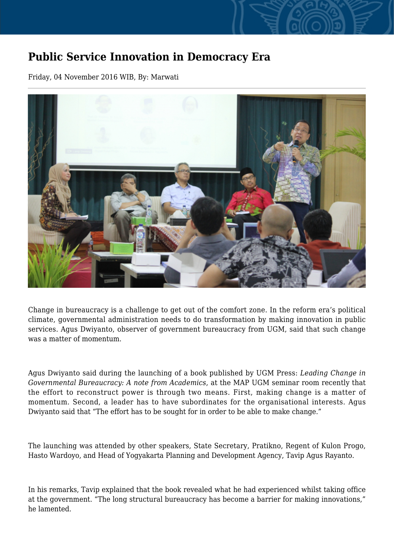## **Public Service Innovation in Democracy Era**

Friday, 04 November 2016 WIB, By: Marwati



Change in bureaucracy is a challenge to get out of the comfort zone. In the reform era's political climate, governmental administration needs to do transformation by making innovation in public services. Agus Dwiyanto, observer of government bureaucracy from UGM, said that such change was a matter of momentum.

Agus Dwiyanto said during the launching of a book published by UGM Press: *Leading Change in Governmental Bureaucracy: A note from Academics*, at the MAP UGM seminar room recently that the effort to reconstruct power is through two means. First, making change is a matter of momentum. Second, a leader has to have subordinates for the organisational interests. Agus Dwiyanto said that "The effort has to be sought for in order to be able to make change."

The launching was attended by other speakers, State Secretary, Pratikno, Regent of Kulon Progo, Hasto Wardoyo, and Head of Yogyakarta Planning and Development Agency, Tavip Agus Rayanto.

In his remarks, Tavip explained that the book revealed what he had experienced whilst taking office at the government. "The long structural bureaucracy has become a barrier for making innovations," he lamented.